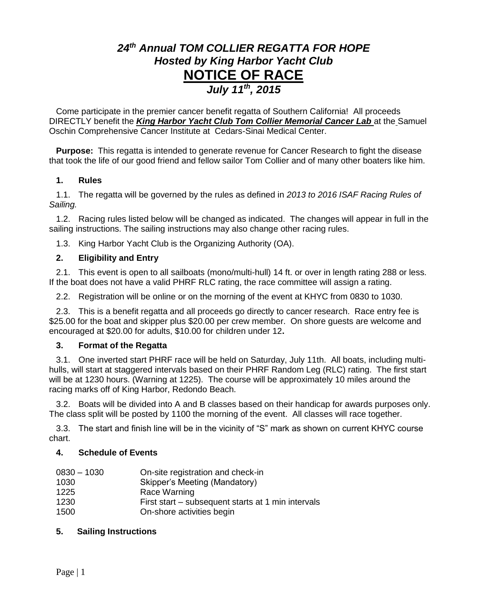# *24 th Annual TOM COLLIER REGATTA FOR HOPE Hosted by King Harbor Yacht Club* **NOTICE OF RACE** *July 11 th, 2015*

Come participate in the premier cancer benefit regatta of Southern California! All proceeds DIRECTLY benefit the *King Harbor Yacht Club Tom Collier Memorial Cancer Lab* at the Samuel Oschin Comprehensive Cancer Institute at Cedars-Sinai Medical Center.

**Purpose:** This regatta is intended to generate revenue for Cancer Research to fight the disease that took the life of our good friend and fellow sailor Tom Collier and of many other boaters like him.

#### **1. Rules**

1.1. The regatta will be governed by the rules as defined in *2013 to 2016 ISAF Racing Rules of Sailing.*

1.2. Racing rules listed below will be changed as indicated. The changes will appear in full in the sailing instructions. The sailing instructions may also change other racing rules.

1.3. King Harbor Yacht Club is the Organizing Authority (OA).

## **2. Eligibility and Entry**

2.1. This event is open to all sailboats (mono/multi-hull) 14 ft. or over in length rating 288 or less. If the boat does not have a valid PHRF RLC rating, the race committee will assign a rating.

2.2. Registration will be online or on the morning of the event at KHYC from 0830 to 1030.

2.3. This is a benefit regatta and all proceeds go directly to cancer research. Race entry fee is \$25.00 for the boat and skipper plus \$20.00 per crew member. On shore guests are welcome and encouraged at \$20.00 for adults, \$10.00 for children under 12**.** 

#### **3. Format of the Regatta**

3.1. One inverted start PHRF race will be held on Saturday, July 11th. All boats, including multihulls, will start at staggered intervals based on their PHRF Random Leg (RLC) rating. The first start will be at 1230 hours. (Warning at 1225). The course will be approximately 10 miles around the racing marks off of King Harbor, Redondo Beach.

3.2. Boats will be divided into A and B classes based on their handicap for awards purposes only. The class split will be posted by 1100 the morning of the event. All classes will race together.

3.3. The start and finish line will be in the vicinity of "S" mark as shown on current KHYC course chart.

# **4. Schedule of Events**

| $0830 - 1030$ | On-site registration and check-in                  |
|---------------|----------------------------------------------------|
| 1030          | Skipper's Meeting (Mandatory)                      |
| 1225          | Race Warning                                       |
| 1230          | First start – subsequent starts at 1 min intervals |
| 1500          | On-shore activities begin                          |

# **5. Sailing Instructions**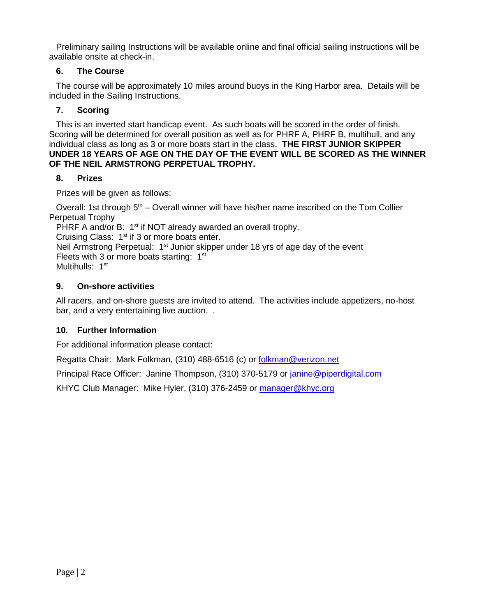Preliminary sailing Instructions will be available online and final official sailing instructions will be available onsite at check-in.

## **6. The Course**

The course will be approximately 10 miles around buoys in the King Harbor area. Details will be included in the Sailing Instructions.

## **7. Scoring**

This is an inverted start handicap event. As such boats will be scored in the order of finish. Scoring will be determined for overall position as well as for PHRF A, PHRF B, multihull, and any individual class as long as 3 or more boats start in the class. **THE FIRST JUNIOR SKIPPER UNDER 18 YEARS OF AGE ON THE DAY OF THE EVENT WILL BE SCORED AS THE WINNER OF THE NEIL ARMSTRONG PERPETUAL TROPHY.**

#### **8. Prizes**

Prizes will be given as follows:

Overall: 1st through 5<sup>th</sup> – Overall winner will have his/her name inscribed on the Tom Collier Perpetual Trophy

PHRF A and/or B: 1<sup>st</sup> if NOT already awarded an overall trophy.

Cruising Class:  $1<sup>st</sup>$  if 3 or more boats enter.

Neil Armstrong Perpetual:  $1<sup>st</sup>$  Junior skipper under 18 yrs of age day of the event Fleets with 3 or more boats starting: 1<sup>st</sup>

Multihulls: 1<sup>st</sup>

## **9. On-shore activities**

All racers, and on-shore guests are invited to attend. The activities include appetizers, no-host bar, and a very entertaining live auction. .

# **10. Further Information**

For additional information please contact:

Regatta Chair: Mark Folkman, (310) 488-6516 (c) or [folkman@verizon.net](mailto:folkman@verizon.net)

Principal Race Officer: Janine Thompson, (310) 370-5179 or [janine@piperdigital.com](mailto:janine@piperdigital.com)

KHYC Club Manager: Mike Hyler, (310) 376-2459 or [manager@khyc.org](mailto:manager@khyc.org)